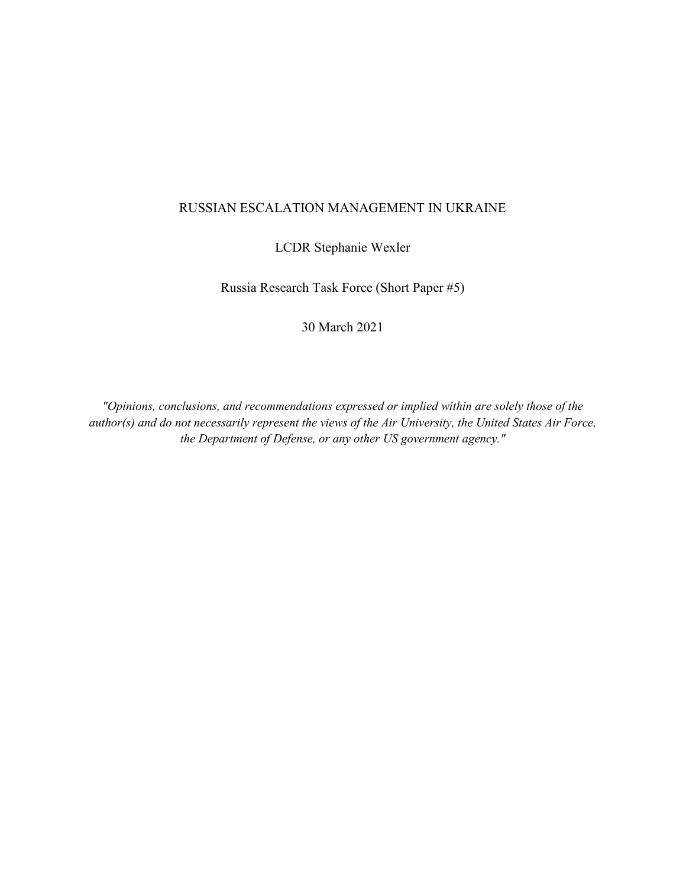## RUSSIAN ESCALATION MANAGEMENT IN UKRAINE

LCDR Stephanie Wexler

Russia Research Task Force (Short Paper #5)

30 March 2021

*"Opinions, conclusions, and recommendations expressed or implied within are solely those of the author(s) and do not necessarily represent the views of the Air University, the United States Air Force, the Department of Defense, or any other US government agency."*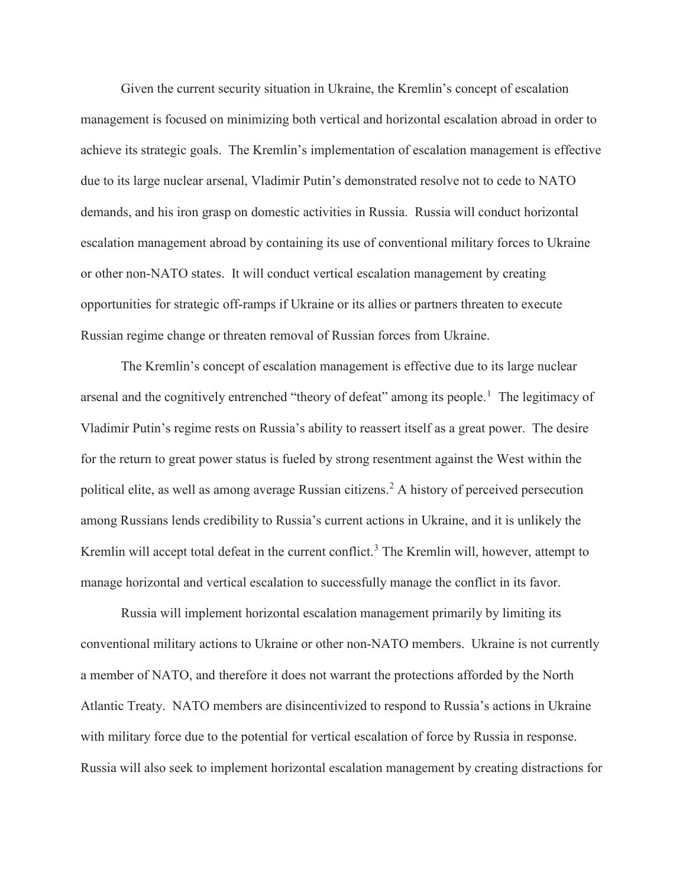Given the current security situation in Ukraine, the Kremlin's concept of escalation management is focused on minimizing both vertical and horizontal escalation abroad in order to achieve its strategic goals. The Kremlin's implementation of escalation management is effective due to its large nuclear arsenal, Vladimir Putin's demonstrated resolve not to cede to NATO demands, and his iron grasp on domestic activities in Russia. Russia will conduct horizontal escalation management abroad by containing its use of conventional military forces to Ukraine or other non-NATO states. It will conduct vertical escalation management by creating opportunities for strategic off-ramps if Ukraine or its allies or partners threaten to execute Russian regime change or threaten removal of Russian forces from Ukraine.

The Kremlin's concept of escalation management is effective due to its large nuclear arsenal and the cognitively entrenched "theory of defeat" among its people.<sup>[1](#page-2-0)</sup> The legitimacy of Vladimir Putin's regime rests on Russia's ability to reassert itself as a great power. The desire for the return to great power status is fueled by strong resentment against the West within the political elite, as well as among average Russian citizens.[2](#page-2-1) A history of perceived persecution among Russians lends credibility to Russia's current actions in Ukraine, and it is unlikely the Kremlin will accept total defeat in the current conflict.<sup>[3](#page-3-0)</sup> The Kremlin will, however, attempt to manage horizontal and vertical escalation to successfully manage the conflict in its favor.

Russia will implement horizontal escalation management primarily by limiting its conventional military actions to Ukraine or other non-NATO members. Ukraine is not currently a member of NATO, and therefore it does not warrant the protections afforded by the North Atlantic Treaty. NATO members are disincentivized to respond to Russia's actions in Ukraine with military force due to the potential for vertical escalation of force by Russia in response. Russia will also seek to implement horizontal escalation management by creating distractions for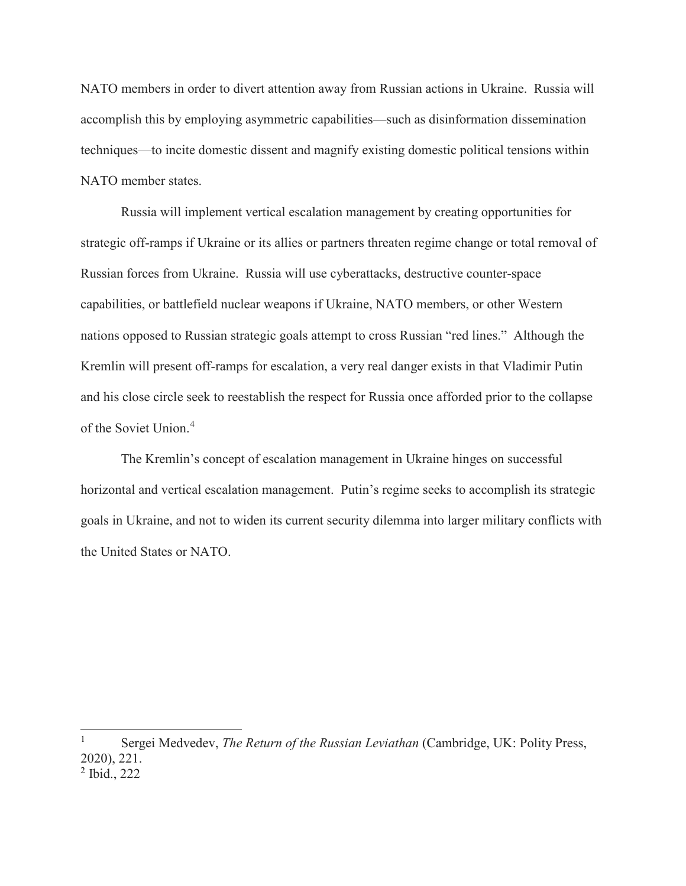NATO members in order to divert attention away from Russian actions in Ukraine. Russia will accomplish this by employing asymmetric capabilities—such as disinformation dissemination techniques—to incite domestic dissent and magnify existing domestic political tensions within NATO member states.

Russia will implement vertical escalation management by creating opportunities for strategic off-ramps if Ukraine or its allies or partners threaten regime change or total removal of Russian forces from Ukraine. Russia will use cyberattacks, destructive counter-space capabilities, or battlefield nuclear weapons if Ukraine, NATO members, or other Western nations opposed to Russian strategic goals attempt to cross Russian "red lines." Although the Kremlin will present off-ramps for escalation, a very real danger exists in that Vladimir Putin and his close circle seek to reestablish the respect for Russia once afforded prior to the collapse of the Soviet Union.[4](#page-3-1)

The Kremlin's concept of escalation management in Ukraine hinges on successful horizontal and vertical escalation management. Putin's regime seeks to accomplish its strategic goals in Ukraine, and not to widen its current security dilemma into larger military conflicts with the United States or NATO.

 $\overline{\phantom{a}}$ 

<span id="page-2-1"></span><span id="page-2-0"></span><sup>1</sup> Sergei Medvedev, *The Return of the Russian Leviathan* (Cambridge, UK: Polity Press, 2020), 221. <sup>2</sup> Ibid., 222